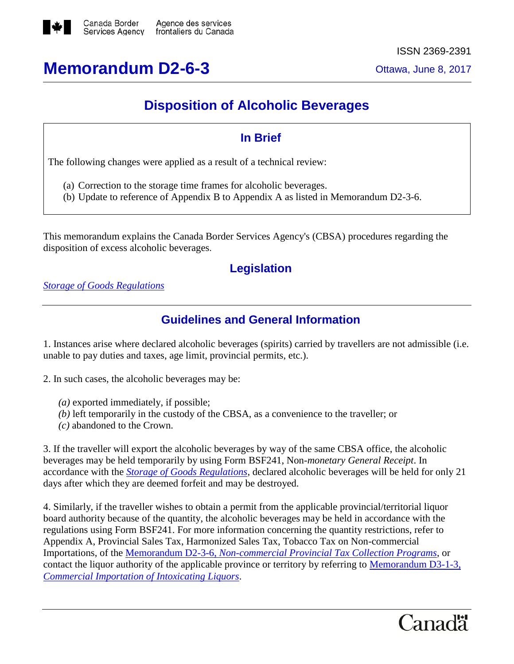

# **Memorandum D2-6-3** Ottawa, June 8, 2017

### **Disposition of Alcoholic Beverages**

### **In Brief**

The following changes were applied as a result of a technical review:

- (a) Correction to the storage time frames for alcoholic beverages.
- (b) Update to reference of Appendix B to Appendix A as listed in Memorandum D2-3-6.

This memorandum explains the Canada Border Services Agency's (CBSA) procedures regarding the disposition of excess alcoholic beverages.

#### **Legislation**

*[Storage of Goods Regulations](http://laws-lois.justice.gc.ca/eng/regulations/SOR-86-991/page-1.html)*

#### **Guidelines and General Information**

1. Instances arise where declared alcoholic beverages (spirits) carried by travellers are not admissible (i.e. unable to pay duties and taxes, age limit, provincial permits, etc.).

2. In such cases, the alcoholic beverages may be:

- *(a)* exported immediately, if possible;
- *(b)* left temporarily in the custody of the CBSA, as a convenience to the traveller; or
- *(c)* abandoned to the Crown.

3. If the traveller will export the alcoholic beverages by way of the same CBSA office, the alcoholic beverages may be held temporarily by using Form BSF241, Non*-monetary General Receipt*. In accordance with the *[Storage of Goods Regulations](http://laws-lois.justice.gc.ca/eng/regulations/SOR-86-991/page-1.html)*, declared alcoholic beverages will be held for only 21 days after which they are deemed forfeit and may be destroyed.

4. Similarly, if the traveller wishes to obtain a permit from the applicable provincial/territorial liquor board authority because of the quantity, the alcoholic beverages may be held in accordance with the regulations using Form BSF241. For more information concerning the quantity restrictions, refer to Appendix A, Provincial Sales Tax, Harmonized Sales Tax, Tobacco Tax on Non-commercial Importations, of the Memorandum D2-3-6, *[Non-commercial Provincial Tax Collection Programs](http://www.cbsa-asfc.gc.ca/publications/dm-md/d2/d2-3-6-eng.html)*, or contact the liquor authority of the applicable province or territory by referring to [Memorandum D3-1-3,](http://www.cbsa-asfc.gc.ca/publications/dm-md/d3/d3-1-3-eng.html)  *[Commercial Importation of Intoxicating Liquors](http://www.cbsa-asfc.gc.ca/publications/dm-md/d3/d3-1-3-eng.html)*.